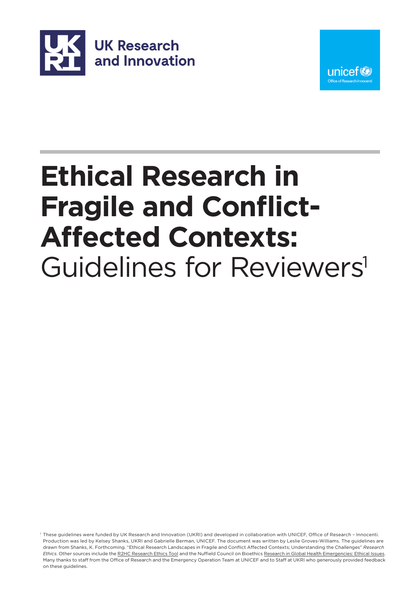



# **Ethical Research in Fragile and Conflict-Affected Contexts:** Guidelines for Reviewers<sup>1</sup>

1 These guidelines were funded by UK Research and Innovation (UKRI) and developed in collaboration with UNICEF, Office of Research – Innocenti. Production was led by Kelsey Shanks, UKRI and Gabrielle Berman, UNICEF. The document was written by Leslie Groves-Williams. The guidelines are drawn from Shanks, K. Forthcoming. "Ethical Research Landscapes in Fragile and Conflict Affected Contexts; Understanding the Challenges" *Research Ethics*. Other sources include the [R2HC Research Ethics Tool](https://www.elrha.org/wp-content/uploads/2015/01/ELRHA-Interactive-Flipcards-F3.pdf) and the Nuffield Council on Bioethics [Research in Global Health Emergencies: Ethical Issues.](https://www.nuffieldbioethics.org/publications/research-in-global-health-emergencies)  Many thanks to staff from the Office of Research and the Emergency Operation Team at UNICEF and to Staff at UKRI who generously provided feedback on these guidelines.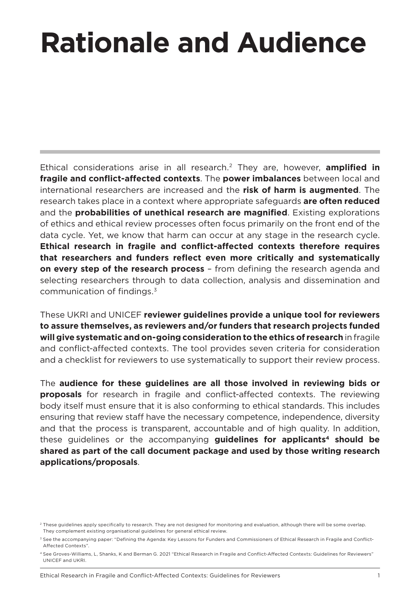# **Rationale and Audience**

Ethical considerations arise in all research.2 They are, however, **amplified in fragile and conflict-affected contexts**. The **power imbalances** between local and international researchers are increased and the **risk of harm is augmented**. The research takes place in a context where appropriate safeguards **are often reduced**  and the **probabilities of unethical research are magnified**. Existing explorations of ethics and ethical review processes often focus primarily on the front end of the data cycle. Yet, we know that harm can occur at any stage in the research cycle. **Ethical research in fragile and conflict-affected contexts therefore requires that researchers and funders reflect even more critically and systematically on every step of the research process** – from defining the research agenda and selecting researchers through to data collection, analysis and dissemination and communication of findings.3

These UKRI and UNICEF **reviewer guidelines provide a unique tool for reviewers to assure themselves, as reviewers and/or funders that research projects funded will give systematic and on-going consideration to the ethics of research** in fragile and conflict-affected contexts. The tool provides seven criteria for consideration and a checklist for reviewers to use systematically to support their review process.

The **audience for these guidelines are all those involved in reviewing bids or proposals** for research in fragile and conflict-affected contexts. The reviewing body itself must ensure that it is also conforming to ethical standards. This includes ensuring that review staff have the necessary competence, independence, diversity and that the process is transparent, accountable and of high quality. In addition, these guidelines or the accompanying **guidelines for applicants<sup>4</sup> should be shared as part of the call document package and used by those writing research applications/proposals**.

<sup>&</sup>lt;sup>2</sup> These guidelines apply specifically to research. They are not designed for monitoring and evaluation, although there will be some overlap. They complement existing organisational guidelines for general ethical review.

<sup>&</sup>lt;sup>3</sup> See the accompanying paper: "Defining the Agenda: Key Lessons for Funders and Commissioners of Ethical Research in Fragile and Conflict-Affected Contexts".

<sup>4</sup> See Groves-Williams, L, Shanks, K and Berman G. 2021 "Ethical Research in Fragile and Conflict-Affected Contexts: Guidelines for Reviewers" UNICEF and UKRI.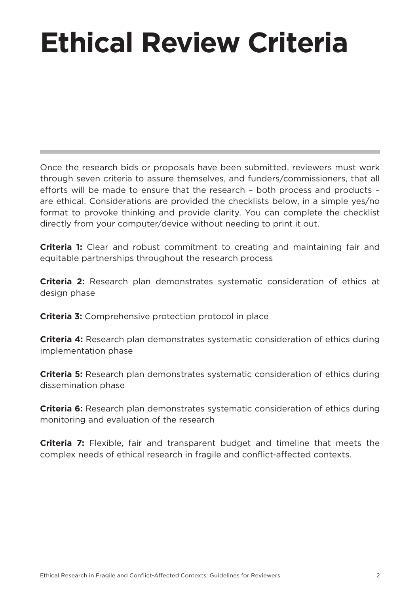# **Ethical Review Criteria**

Once the research bids or proposals have been submitted, reviewers must work through seven criteria to assure themselves, and funders/commissioners, that all efforts will be made to ensure that the research – both process and products – are ethical. Considerations are provided the checklists below, in a simple yes/no format to provoke thinking and provide clarity. You can complete the checklist directly from your computer/device without needing to print it out.

**Criteria 1:** Clear and robust commitment to creating and maintaining fair and equitable partnerships throughout the research process

**Criteria 2:** Research plan demonstrates systematic consideration of ethics at design phase

**Criteria 3:** Comprehensive protection protocol in place

**Criteria 4:** Research plan demonstrates systematic consideration of ethics during implementation phase

**Criteria 5:** Research plan demonstrates systematic consideration of ethics during dissemination phase

**Criteria 6:** Research plan demonstrates systematic consideration of ethics during monitoring and evaluation of the research

**Criteria 7:** Flexible, fair and transparent budget and timeline that meets the complex needs of ethical research in fragile and conflict-affected contexts.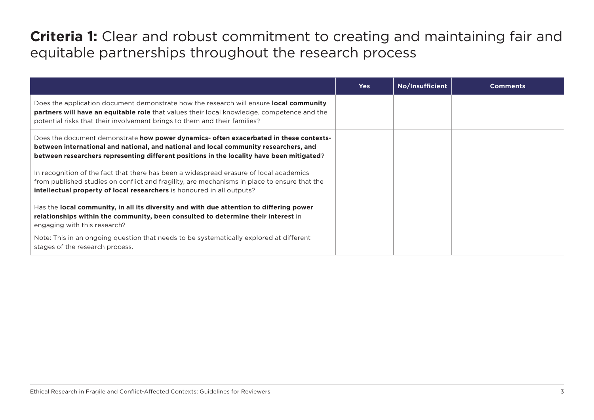# **Criteria 1:** Clear and robust commitment to creating and maintaining fair and equitable partnerships throughout the research process

|                                                                                                                                                                                                                                                                                     | <b>Yes</b> | No/Insufficient | <b>Comments</b> |
|-------------------------------------------------------------------------------------------------------------------------------------------------------------------------------------------------------------------------------------------------------------------------------------|------------|-----------------|-----------------|
| Does the application document demonstrate how the research will ensure <b>local community</b><br><b>partners will have an equitable role</b> that values their local knowledge, competence and the<br>potential risks that their involvement brings to them and their families?     |            |                 |                 |
| Does the document demonstrate <b>how power dynamics- often exacerbated in these contexts-</b><br>between international and national, and national and local community researchers, and<br>between researchers representing different positions in the locality have been mitigated? |            |                 |                 |
| In recognition of the fact that there has been a widespread erasure of local academics<br>from published studies on conflict and fragility, are mechanisms in place to ensure that the<br>intellectual property of local researchers is honoured in all outputs?                    |            |                 |                 |
| Has the local community, in all its diversity and with due attention to differing power<br>relationships within the community, been consulted to determine their interest in<br>engaging with this research?                                                                        |            |                 |                 |
| Note: This in an ongoing question that needs to be systematically explored at different<br>stages of the research process.                                                                                                                                                          |            |                 |                 |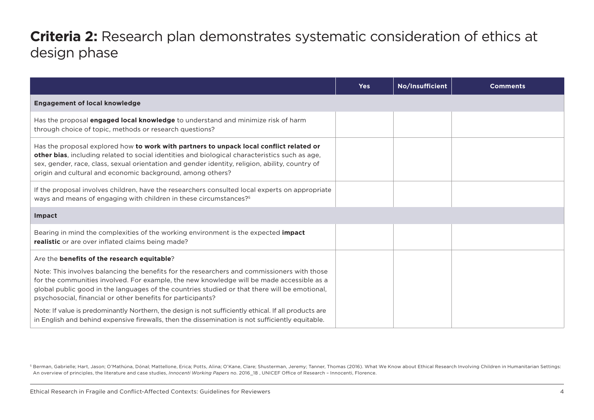# **Criteria 2:** Research plan demonstrates systematic consideration of ethics at design phase

|                                                                                                                                                                                                                                                                                                                                                            | <b>Yes</b> | No/Insufficient | <b>Comments</b> |
|------------------------------------------------------------------------------------------------------------------------------------------------------------------------------------------------------------------------------------------------------------------------------------------------------------------------------------------------------------|------------|-----------------|-----------------|
| <b>Engagement of local knowledge</b>                                                                                                                                                                                                                                                                                                                       |            |                 |                 |
| Has the proposal <b>engaged local knowledge</b> to understand and minimize risk of harm<br>through choice of topic, methods or research questions?                                                                                                                                                                                                         |            |                 |                 |
| Has the proposal explored how to work with partners to unpack local conflict related or<br>other bias, including related to social identities and biological characteristics such as age,<br>sex, gender, race, class, sexual orientation and gender identity, religion, ability, country of<br>origin and cultural and economic background, among others? |            |                 |                 |
| If the proposal involves children, have the researchers consulted local experts on appropriate<br>ways and means of engaging with children in these circumstances? <sup>5</sup>                                                                                                                                                                            |            |                 |                 |
| Impact                                                                                                                                                                                                                                                                                                                                                     |            |                 |                 |
| Bearing in mind the complexities of the working environment is the expected <b>impact</b><br>realistic or are over inflated claims being made?                                                                                                                                                                                                             |            |                 |                 |
| Are the benefits of the research equitable?                                                                                                                                                                                                                                                                                                                |            |                 |                 |
| Note: This involves balancing the benefits for the researchers and commissioners with those<br>for the communities involved. For example, the new knowledge will be made accessible as a<br>global public good in the languages of the countries studied or that there will be emotional,<br>psychosocial, financial or other benefits for participants?   |            |                 |                 |
| Note: If value is predominantly Northern, the design is not sufficiently ethical. If all products are<br>in English and behind expensive firewalls, then the dissemination is not sufficiently equitable.                                                                                                                                                  |            |                 |                 |

5 Berman, Gabrielle; Hart, Jason; O'Mathúna, Dónal; Mattellone, Erica; Potts, Alina; O'Kane, Clare; Shusterman, Jeremy; Tanner, Thomas (2016). What We Know about Ethical Research Involving Children in Humanitarian Settings: An overview of principles, the literature and case studies, *Innocenti Working Papers* no. 2016\_18 , UNICEF Office of Research – Innocenti, Florence.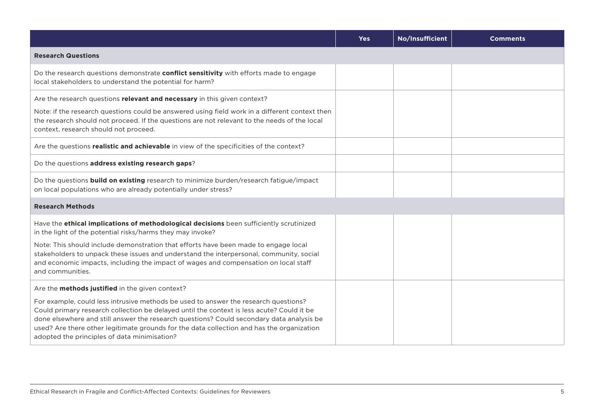|                                                                                                                                                                                                                                                                                                                                                                                                                           | <b>Yes</b> | No/Insufficient | <b>Comments</b> |
|---------------------------------------------------------------------------------------------------------------------------------------------------------------------------------------------------------------------------------------------------------------------------------------------------------------------------------------------------------------------------------------------------------------------------|------------|-----------------|-----------------|
| <b>Research Questions</b>                                                                                                                                                                                                                                                                                                                                                                                                 |            |                 |                 |
| Do the research questions demonstrate conflict sensitivity with efforts made to engage<br>local stakeholders to understand the potential for harm?                                                                                                                                                                                                                                                                        |            |                 |                 |
| Are the research questions relevant and necessary in this given context?<br>Note: if the research questions could be answered using field work in a different context then<br>the research should not proceed. If the questions are not relevant to the needs of the local<br>context, research should not proceed.                                                                                                       |            |                 |                 |
| Are the questions realistic and achievable in view of the specificities of the context?                                                                                                                                                                                                                                                                                                                                   |            |                 |                 |
| Do the questions address existing research gaps?                                                                                                                                                                                                                                                                                                                                                                          |            |                 |                 |
| Do the questions <b>build on existing</b> research to minimize burden/research fatigue/impact<br>on local populations who are already potentially under stress?                                                                                                                                                                                                                                                           |            |                 |                 |
| <b>Research Methods</b>                                                                                                                                                                                                                                                                                                                                                                                                   |            |                 |                 |
| Have the ethical implications of methodological decisions been sufficiently scrutinized<br>in the light of the potential risks/harms they may invoke?                                                                                                                                                                                                                                                                     |            |                 |                 |
| Note: This should include demonstration that efforts have been made to engage local<br>stakeholders to unpack these issues and understand the interpersonal, community, social<br>and economic impacts, including the impact of wages and compensation on local staff<br>and communities.                                                                                                                                 |            |                 |                 |
| Are the methods justified in the given context?                                                                                                                                                                                                                                                                                                                                                                           |            |                 |                 |
| For example, could less intrusive methods be used to answer the research questions?<br>Could primary research collection be delayed until the context is less acute? Could it be<br>done elsewhere and still answer the research questions? Could secondary data analysis be<br>used? Are there other legitimate grounds for the data collection and has the organization<br>adopted the principles of data minimisation? |            |                 |                 |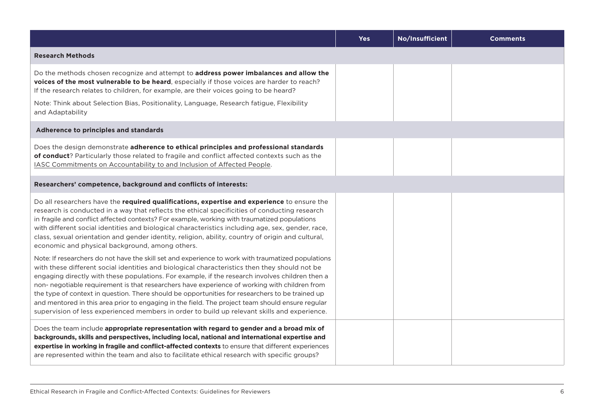|                                                                                                                                                                                                                                                                                                                                                                                                                                                                                                                                                                                                                                                                                                                | <b>Yes</b> | No/Insufficient | <b>Comments</b> |
|----------------------------------------------------------------------------------------------------------------------------------------------------------------------------------------------------------------------------------------------------------------------------------------------------------------------------------------------------------------------------------------------------------------------------------------------------------------------------------------------------------------------------------------------------------------------------------------------------------------------------------------------------------------------------------------------------------------|------------|-----------------|-----------------|
| <b>Research Methods</b>                                                                                                                                                                                                                                                                                                                                                                                                                                                                                                                                                                                                                                                                                        |            |                 |                 |
| Do the methods chosen recognize and attempt to address power imbalances and allow the<br>voices of the most vulnerable to be heard, especially if those voices are harder to reach?<br>If the research relates to children, for example, are their voices going to be heard?                                                                                                                                                                                                                                                                                                                                                                                                                                   |            |                 |                 |
| Note: Think about Selection Bias, Positionality, Language, Research fatigue, Flexibility<br>and Adaptability                                                                                                                                                                                                                                                                                                                                                                                                                                                                                                                                                                                                   |            |                 |                 |
| Adherence to principles and standards                                                                                                                                                                                                                                                                                                                                                                                                                                                                                                                                                                                                                                                                          |            |                 |                 |
| Does the design demonstrate adherence to ethical principles and professional standards<br>of conduct? Particularly those related to fragile and conflict affected contexts such as the<br>IASC Commitments on Accountability to and Inclusion of Affected People.                                                                                                                                                                                                                                                                                                                                                                                                                                              |            |                 |                 |
| Researchers' competence, background and conflicts of interests:                                                                                                                                                                                                                                                                                                                                                                                                                                                                                                                                                                                                                                                |            |                 |                 |
| Do all researchers have the required qualifications, expertise and experience to ensure the<br>research is conducted in a way that reflects the ethical specificities of conducting research<br>in fragile and conflict affected contexts? For example, working with traumatized populations<br>with different social identities and biological characteristics including age, sex, gender, race,<br>class, sexual orientation and gender identity, religion, ability, country of origin and cultural,<br>economic and physical background, among others.                                                                                                                                                      |            |                 |                 |
| Note: If researchers do not have the skill set and experience to work with traumatized populations<br>with these different social identities and biological characteristics then they should not be<br>engaging directly with these populations. For example, if the research involves children then a<br>non- negotiable requirement is that researchers have experience of working with children from<br>the type of context in question. There should be opportunities for researchers to be trained up<br>and mentored in this area prior to engaging in the field. The project team should ensure regular<br>supervision of less experienced members in order to build up relevant skills and experience. |            |                 |                 |
| Does the team include appropriate representation with regard to gender and a broad mix of<br>backgrounds, skills and perspectives, including local, national and international expertise and<br>expertise in working in fragile and conflict-affected contexts to ensure that different experiences<br>are represented within the team and also to facilitate ethical research with specific groups?                                                                                                                                                                                                                                                                                                           |            |                 |                 |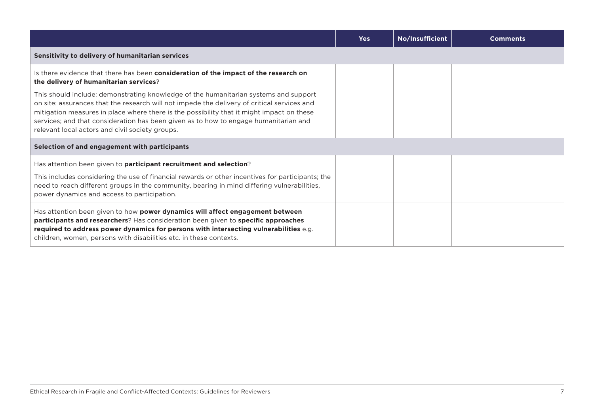|                                                                                                                                                                                                                                                                                                                                                                                                                             | <b>Yes</b> | No/Insufficient | <b>Comments</b> |
|-----------------------------------------------------------------------------------------------------------------------------------------------------------------------------------------------------------------------------------------------------------------------------------------------------------------------------------------------------------------------------------------------------------------------------|------------|-----------------|-----------------|
| Sensitivity to delivery of humanitarian services                                                                                                                                                                                                                                                                                                                                                                            |            |                 |                 |
| Is there evidence that there has been consideration of the impact of the research on<br>the delivery of humanitarian services?                                                                                                                                                                                                                                                                                              |            |                 |                 |
| This should include: demonstrating knowledge of the humanitarian systems and support<br>on site; assurances that the research will not impede the delivery of critical services and<br>mitigation measures in place where there is the possibility that it might impact on these<br>services; and that consideration has been given as to how to engage humanitarian and<br>relevant local actors and civil society groups. |            |                 |                 |
| Selection of and engagement with participants                                                                                                                                                                                                                                                                                                                                                                               |            |                 |                 |
| Has attention been given to participant recruitment and selection?                                                                                                                                                                                                                                                                                                                                                          |            |                 |                 |
| This includes considering the use of financial rewards or other incentives for participants; the<br>need to reach different groups in the community, bearing in mind differing vulnerabilities,<br>power dynamics and access to participation.                                                                                                                                                                              |            |                 |                 |
| Has attention been given to how power dynamics will affect engagement between<br>participants and researchers? Has consideration been given to specific approaches<br>required to address power dynamics for persons with intersecting vulnerabilities e.g.<br>children, women, persons with disabilities etc. in these contexts.                                                                                           |            |                 |                 |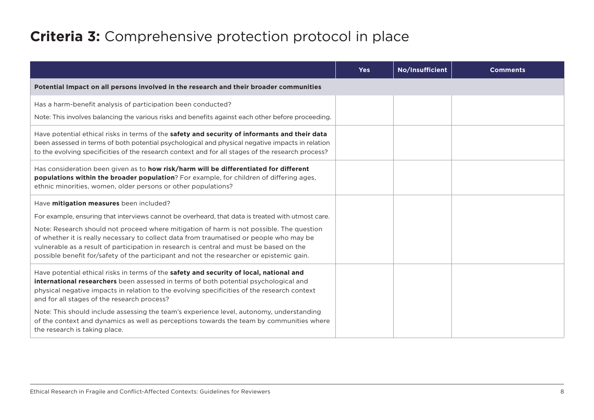# **Criteria 3:** Comprehensive protection protocol in place

|                                                                                                                                                                                                                                                                                                                               | <b>Yes</b> | No/Insufficient | <b>Comments</b> |
|-------------------------------------------------------------------------------------------------------------------------------------------------------------------------------------------------------------------------------------------------------------------------------------------------------------------------------|------------|-----------------|-----------------|
| Potential Impact on all persons involved in the research and their broader communities                                                                                                                                                                                                                                        |            |                 |                 |
| Has a harm-benefit analysis of participation been conducted?                                                                                                                                                                                                                                                                  |            |                 |                 |
| Note: This involves balancing the various risks and benefits against each other before proceeding.                                                                                                                                                                                                                            |            |                 |                 |
| Have potential ethical risks in terms of the safety and security of informants and their data<br>been assessed in terms of both potential psychological and physical negative impacts in relation<br>to the evolving specificities of the research context and for all stages of the research process?                        |            |                 |                 |
| Has consideration been given as to how risk/harm will be differentiated for different<br>populations within the broader population? For example, for children of differing ages,<br>ethnic minorities, women, older persons or other populations?                                                                             |            |                 |                 |
| Have mitigation measures been included?                                                                                                                                                                                                                                                                                       |            |                 |                 |
| For example, ensuring that interviews cannot be overheard, that data is treated with utmost care.                                                                                                                                                                                                                             |            |                 |                 |
| Note: Research should not proceed where mitigation of harm is not possible. The question                                                                                                                                                                                                                                      |            |                 |                 |
| of whether it is really necessary to collect data from traumatised or people who may be<br>vulnerable as a result of participation in research is central and must be based on the                                                                                                                                            |            |                 |                 |
| possible benefit for/safety of the participant and not the researcher or epistemic gain.                                                                                                                                                                                                                                      |            |                 |                 |
| Have potential ethical risks in terms of the safety and security of local, national and<br>international researchers been assessed in terms of both potential psychological and<br>physical negative impacts in relation to the evolving specificities of the research context<br>and for all stages of the research process? |            |                 |                 |
| Note: This should include assessing the team's experience level, autonomy, understanding<br>of the context and dynamics as well as perceptions towards the team by communities where<br>the research is taking place.                                                                                                         |            |                 |                 |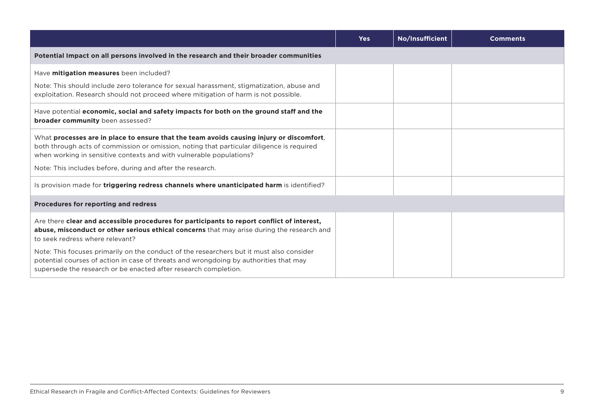|                                                                                                                                                                                                                                                                                                                            | <b>Yes</b> | No/Insufficient | <b>Comments</b> |
|----------------------------------------------------------------------------------------------------------------------------------------------------------------------------------------------------------------------------------------------------------------------------------------------------------------------------|------------|-----------------|-----------------|
| Potential Impact on all persons involved in the research and their broader communities                                                                                                                                                                                                                                     |            |                 |                 |
| Have <b>mitigation measures</b> been included?                                                                                                                                                                                                                                                                             |            |                 |                 |
| Note: This should include zero tolerance for sexual harassment, stigmatization, abuse and<br>exploitation. Research should not proceed where mitigation of harm is not possible.                                                                                                                                           |            |                 |                 |
| Have potential economic, social and safety impacts for both on the ground staff and the<br><b>broader community</b> been assessed?                                                                                                                                                                                         |            |                 |                 |
| What processes are in place to ensure that the team avoids causing injury or discomfort,<br>both through acts of commission or omission, noting that particular diligence is required<br>when working in sensitive contexts and with vulnerable populations?<br>Note: This includes before, during and after the research. |            |                 |                 |
| Is provision made for triggering redress channels where unanticipated harm is identified?                                                                                                                                                                                                                                  |            |                 |                 |
| <b>Procedures for reporting and redress</b>                                                                                                                                                                                                                                                                                |            |                 |                 |
| Are there clear and accessible procedures for participants to report conflict of interest,<br>abuse, misconduct or other serious ethical concerns that may arise during the research and<br>to seek redress where relevant?                                                                                                |            |                 |                 |
| Note: This focuses primarily on the conduct of the researchers but it must also consider<br>potential courses of action in case of threats and wrongdoing by authorities that may<br>supersede the research or be enacted after research completion.                                                                       |            |                 |                 |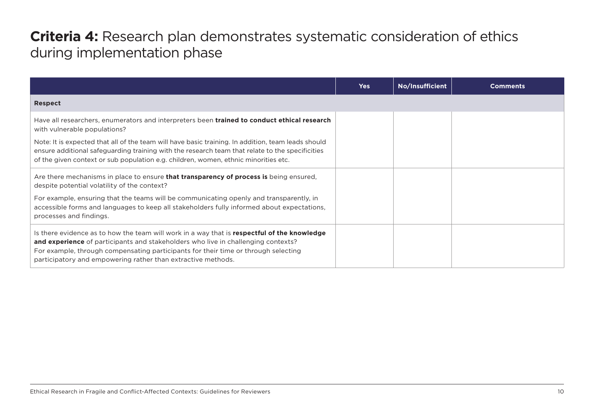### **Criteria 4:** Research plan demonstrates systematic consideration of ethics during implementation phase

|                                                                                                                                                                                                                                                                                                                                        | <b>Yes</b> | No/Insufficient | <b>Comments</b> |
|----------------------------------------------------------------------------------------------------------------------------------------------------------------------------------------------------------------------------------------------------------------------------------------------------------------------------------------|------------|-----------------|-----------------|
| <b>Respect</b>                                                                                                                                                                                                                                                                                                                         |            |                 |                 |
| Have all researchers, enumerators and interpreters been trained to conduct ethical research<br>with vulnerable populations?                                                                                                                                                                                                            |            |                 |                 |
| Note: It is expected that all of the team will have basic training. In addition, team leads should<br>ensure additional safeguarding training with the research team that relate to the specificities<br>of the given context or sub population e.g. children, women, ethnic minorities etc.                                           |            |                 |                 |
| Are there mechanisms in place to ensure that transparency of process is being ensured,<br>despite potential volatility of the context?                                                                                                                                                                                                 |            |                 |                 |
| For example, ensuring that the teams will be communicating openly and transparently, in<br>accessible forms and languages to keep all stakeholders fully informed about expectations,<br>processes and findings.                                                                                                                       |            |                 |                 |
| Is there evidence as to how the team will work in a way that is respectful of the knowledge<br>and experience of participants and stakeholders who live in challenging contexts?<br>For example, through compensating participants for their time or through selecting<br>participatory and empowering rather than extractive methods. |            |                 |                 |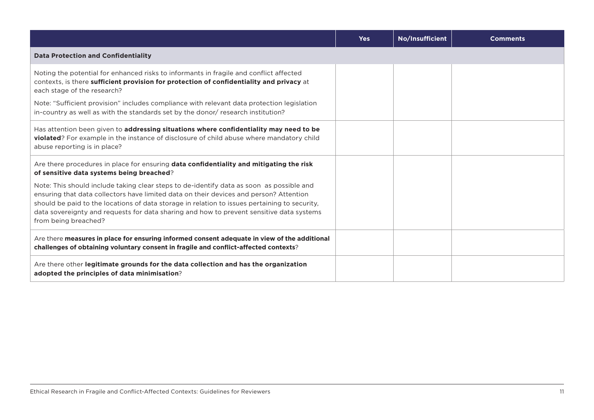|                                                                                                                                                                                                                                                                                                                                                                                                         | <b>Yes</b> | No/Insufficient | <b>Comments</b> |
|---------------------------------------------------------------------------------------------------------------------------------------------------------------------------------------------------------------------------------------------------------------------------------------------------------------------------------------------------------------------------------------------------------|------------|-----------------|-----------------|
| <b>Data Protection and Confidentiality</b>                                                                                                                                                                                                                                                                                                                                                              |            |                 |                 |
| Noting the potential for enhanced risks to informants in fragile and conflict affected<br>contexts, is there sufficient provision for protection of confidentiality and privacy at<br>each stage of the research?<br>Note: "Sufficient provision" includes compliance with relevant data protection legislation                                                                                         |            |                 |                 |
| in-country as well as with the standards set by the donor/ research institution?                                                                                                                                                                                                                                                                                                                        |            |                 |                 |
| Has attention been given to addressing situations where confidentiality may need to be<br>violated? For example in the instance of disclosure of child abuse where mandatory child<br>abuse reporting is in place?                                                                                                                                                                                      |            |                 |                 |
| Are there procedures in place for ensuring data confidentiality and mitigating the risk<br>of sensitive data systems being breached?                                                                                                                                                                                                                                                                    |            |                 |                 |
| Note: This should include taking clear steps to de-identify data as soon as possible and<br>ensuring that data collectors have limited data on their devices and person? Attention<br>should be paid to the locations of data storage in relation to issues pertaining to security,<br>data sovereignty and requests for data sharing and how to prevent sensitive data systems<br>from being breached? |            |                 |                 |
| Are there measures in place for ensuring informed consent adequate in view of the additional<br>challenges of obtaining voluntary consent in fragile and conflict-affected contexts?                                                                                                                                                                                                                    |            |                 |                 |
| Are there other legitimate grounds for the data collection and has the organization<br>adopted the principles of data minimisation?                                                                                                                                                                                                                                                                     |            |                 |                 |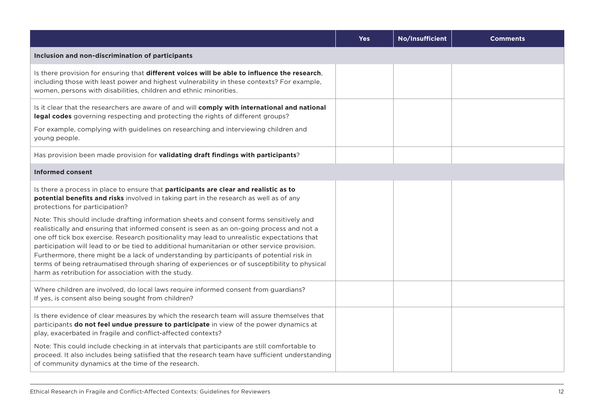|                                                                                                                                                                                                                                                                                                                                                                                                                                                                                                                                                                                                                                                                                                                                                                                                                                                             | <b>Yes</b> | No/Insufficient | <b>Comments</b> |
|-------------------------------------------------------------------------------------------------------------------------------------------------------------------------------------------------------------------------------------------------------------------------------------------------------------------------------------------------------------------------------------------------------------------------------------------------------------------------------------------------------------------------------------------------------------------------------------------------------------------------------------------------------------------------------------------------------------------------------------------------------------------------------------------------------------------------------------------------------------|------------|-----------------|-----------------|
| Inclusion and non-discrimination of participants                                                                                                                                                                                                                                                                                                                                                                                                                                                                                                                                                                                                                                                                                                                                                                                                            |            |                 |                 |
| Is there provision for ensuring that different voices will be able to influence the research,<br>including those with least power and highest vulnerability in these contexts? For example,<br>women, persons with disabilities, children and ethnic minorities.                                                                                                                                                                                                                                                                                                                                                                                                                                                                                                                                                                                            |            |                 |                 |
| Is it clear that the researchers are aware of and will comply with international and national<br>legal codes governing respecting and protecting the rights of different groups?<br>For example, complying with guidelines on researching and interviewing children and<br>young people.                                                                                                                                                                                                                                                                                                                                                                                                                                                                                                                                                                    |            |                 |                 |
| Has provision been made provision for validating draft findings with participants?                                                                                                                                                                                                                                                                                                                                                                                                                                                                                                                                                                                                                                                                                                                                                                          |            |                 |                 |
| <b>Informed consent</b>                                                                                                                                                                                                                                                                                                                                                                                                                                                                                                                                                                                                                                                                                                                                                                                                                                     |            |                 |                 |
| Is there a process in place to ensure that participants are clear and realistic as to<br>potential benefits and risks involved in taking part in the research as well as of any<br>protections for participation?<br>Note: This should include drafting information sheets and consent forms sensitively and<br>realistically and ensuring that informed consent is seen as an on-going process and not a<br>one off tick box exercise. Research positionality may lead to unrealistic expectations that<br>participation will lead to or be tied to additional humanitarian or other service provision.<br>Furthermore, there might be a lack of understanding by participants of potential risk in<br>terms of being retraumatised through sharing of experiences or of susceptibility to physical<br>harm as retribution for association with the study. |            |                 |                 |
| Where children are involved, do local laws require informed consent from guardians?<br>If yes, is consent also being sought from children?                                                                                                                                                                                                                                                                                                                                                                                                                                                                                                                                                                                                                                                                                                                  |            |                 |                 |
| Is there evidence of clear measures by which the research team will assure themselves that<br>participants do not feel undue pressure to participate in view of the power dynamics at<br>play, exacerbated in fragile and conflict-affected contexts?<br>Note: This could include checking in at intervals that participants are still comfortable to<br>proceed. It also includes being satisfied that the research team have sufficient understanding<br>of community dynamics at the time of the research.                                                                                                                                                                                                                                                                                                                                               |            |                 |                 |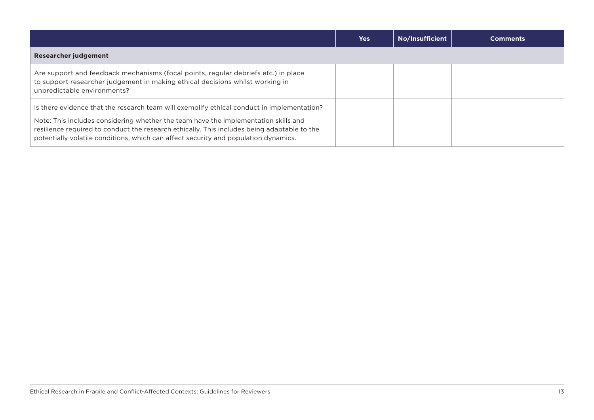|                                                                                                                                                                                                                                                                                                                                                                         | <b>Yes</b> | No/Insufficient | <b>Comments</b> |
|-------------------------------------------------------------------------------------------------------------------------------------------------------------------------------------------------------------------------------------------------------------------------------------------------------------------------------------------------------------------------|------------|-----------------|-----------------|
| <b>Researcher judgement</b>                                                                                                                                                                                                                                                                                                                                             |            |                 |                 |
| Are support and feedback mechanisms (focal points, regular debriefs etc.) in place<br>to support researcher judgement in making ethical decisions whilst working in<br>unpredictable environments?                                                                                                                                                                      |            |                 |                 |
| Is there evidence that the research team will exemplify ethical conduct in implementation?<br>Note: This includes considering whether the team have the implementation skills and<br>resilience required to conduct the research ethically. This includes being adaptable to the<br>potentially volatile conditions, which can affect security and population dynamics. |            |                 |                 |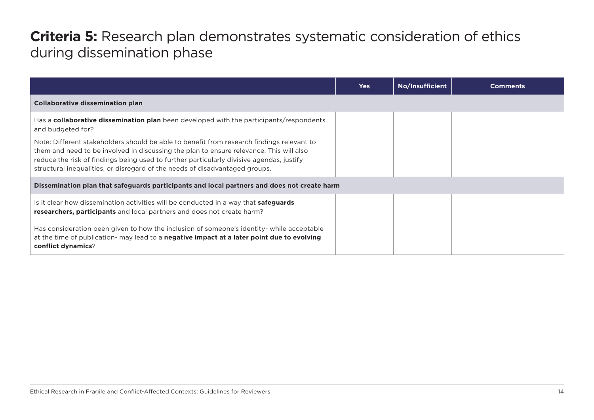### **Criteria 5:** Research plan demonstrates systematic consideration of ethics during dissemination phase

|                                                                                                                                                                                                                                                                                                                                                                 | <b>Yes</b> | No/Insufficient | Comments |
|-----------------------------------------------------------------------------------------------------------------------------------------------------------------------------------------------------------------------------------------------------------------------------------------------------------------------------------------------------------------|------------|-----------------|----------|
| <b>Collaborative dissemination plan</b>                                                                                                                                                                                                                                                                                                                         |            |                 |          |
| Has a <b>collaborative dissemination plan</b> been developed with the participants/respondents<br>and budgeted for?                                                                                                                                                                                                                                             |            |                 |          |
| Note: Different stakeholders should be able to benefit from research findings relevant to<br>them and need to be involved in discussing the plan to ensure relevance. This will also<br>reduce the risk of findings being used to further particularly divisive agendas, justify<br>structural inequalities, or disregard of the needs of disadvantaged groups. |            |                 |          |
| Dissemination plan that safeguards participants and local partners and does not create harm                                                                                                                                                                                                                                                                     |            |                 |          |
| Is it clear how dissemination activities will be conducted in a way that <b>safeguards</b><br>researchers, participants and local partners and does not create harm?                                                                                                                                                                                            |            |                 |          |
| Has consideration been given to how the inclusion of someone's identity- while acceptable<br>at the time of publication- may lead to a <b>negative impact at a later point due to evolving</b><br>conflict dynamics?                                                                                                                                            |            |                 |          |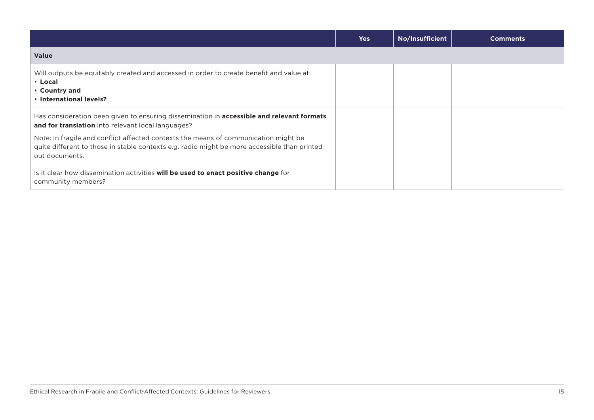|                                                                                                                                                                                                       | <b>Yes</b> | No/Insufficient | <b>Comments</b> |
|-------------------------------------------------------------------------------------------------------------------------------------------------------------------------------------------------------|------------|-----------------|-----------------|
| <b>Value</b>                                                                                                                                                                                          |            |                 |                 |
| Will outputs be equitably created and accessed in order to create benefit and value at:<br>$\cdot$ Local<br>• Country and<br>. International levels?                                                  |            |                 |                 |
| Has consideration been given to ensuring dissemination in <b>accessible and relevant formats</b><br>and for translation into relevant local languages?                                                |            |                 |                 |
| Note: In fragile and conflict affected contexts the means of communication might be<br>quite different to those in stable contexts e.g. radio might be more accessible than printed<br>out documents. |            |                 |                 |
| Is it clear how dissemination activities will be used to enact positive change for<br>community members?                                                                                              |            |                 |                 |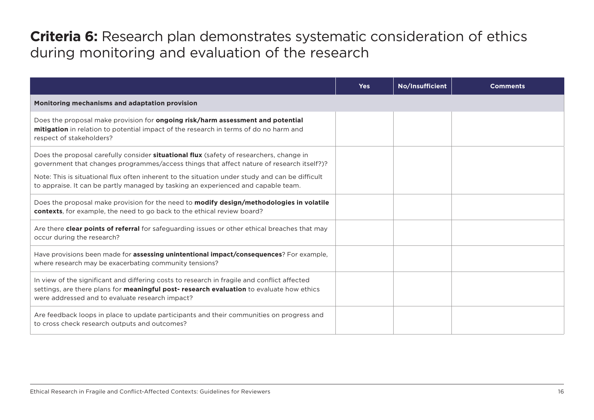# **Criteria 6:** Research plan demonstrates systematic consideration of ethics during monitoring and evaluation of the research

|                                                                                                                                                                                                                                                                                                | <b>Yes</b> | No/Insufficient | <b>Comments</b> |
|------------------------------------------------------------------------------------------------------------------------------------------------------------------------------------------------------------------------------------------------------------------------------------------------|------------|-----------------|-----------------|
| Monitoring mechanisms and adaptation provision                                                                                                                                                                                                                                                 |            |                 |                 |
| Does the proposal make provision for ongoing risk/harm assessment and potential<br>mitigation in relation to potential impact of the research in terms of do no harm and<br>respect of stakeholders?                                                                                           |            |                 |                 |
| Does the proposal carefully consider <b>situational flux</b> (safety of researchers, change in<br>government that changes programmes/access things that affect nature of research itself?)?<br>Note: This is situational flux often inherent to the situation under study and can be difficult |            |                 |                 |
| to appraise. It can be partly managed by tasking an experienced and capable team.                                                                                                                                                                                                              |            |                 |                 |
| Does the proposal make provision for the need to modify design/methodologies in volatile<br>contexts, for example, the need to go back to the ethical review board?                                                                                                                            |            |                 |                 |
| Are there clear points of referral for safeguarding issues or other ethical breaches that may<br>occur during the research?                                                                                                                                                                    |            |                 |                 |
| Have provisions been made for assessing unintentional impact/consequences? For example,<br>where research may be exacerbating community tensions?                                                                                                                                              |            |                 |                 |
| In view of the significant and differing costs to research in fragile and conflict affected<br>settings, are there plans for meaningful post-research evaluation to evaluate how ethics<br>were addressed and to evaluate research impact?                                                     |            |                 |                 |
| Are feedback loops in place to update participants and their communities on progress and<br>to cross check research outputs and outcomes?                                                                                                                                                      |            |                 |                 |